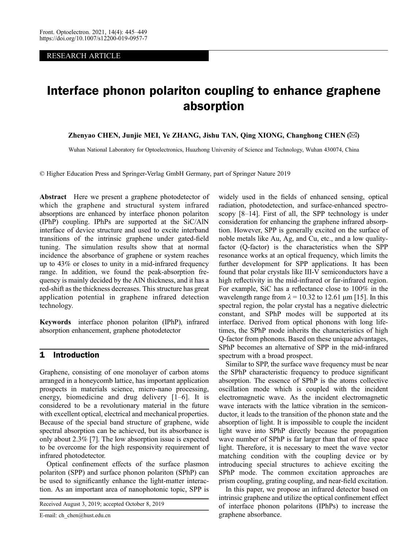RESEARCH ARTICLE

# Interface phonon polariton coupling to enhance graphene absorption

Zhenyao CHEN, Junjie MEI, Ye ZHANG, Jishu TAN, Qing XIONG, Changhong CHEN (✉)

Wuhan National Laboratory for Optoelectronics, Huazhong University of Science and Technology, Wuhan 430074, China

© Higher Education Press and Springer-Verlag GmbH Germany, part of Springer Nature 2019

Abstract Here we present a graphene photodetector of which the graphene and structural system infrared absorptions are enhanced by interface phonon polariton (IPhP) coupling. IPhPs are supported at the SiC/AlN interface of device structure and used to excite interband transitions of the intrinsic graphene under gated-field tuning. The simulation results show that at normal incidence the absorbance of graphene or system reaches up to 43% or closes to unity in a mid-infrared frequency range. In addition, we found the peak-absorption frequency is mainly decided by the AlN thickness, and it has a red-shift as the thickness decreases. This structure has great application potential in graphene infrared detection technology.

Keywords interface phonon polariton (IPhP), infrared absorption enhancement, graphene photodetector

## 1 Introduction

Graphene, consisting of one monolayer of carbon atoms arranged in a honeycomb lattice, has important application prospects in materials science, micro-nano processing, energy, biomedicine and drug delivery [\[1](#page-3-0)–[6](#page-3-0)]. It is considered to be a revolutionary material in the future with excellent optical, electrical and mechanical properties. Because of the special band structure of graphene, wide spectral absorption can be achieved, but its absorbance is only about 2.3% [[7\]](#page-3-0). The low absorption issue is expected to be overcome for the high responsivity requirement of infrared photodetector.

Optical confinement effects of the surface plasmon polariton (SPP) and surface phonon polariton (SPhP) can be used to significantly enhance the light-matter interaction. As an important area of nanophotonic topic, SPP is

Received August 3, 2019; accepted October 8, 2019

E-mail: ch\_chen@hust.edu.cn

widely used in the fields of enhanced sensing, optical radiation, photodetection, and surface-enhanced spectroscopy [\[8](#page-3-0)–[14](#page-3-0)]. First of all, the SPP technology is under consideration for enhancing the graphene infrared absorption. However, SPP is generally excited on the surface of noble metals like Au, Ag, and Cu, etc., and a low qualityfactor (Q-factor) is the characteristics when the SPP resonance works at an optical frequency, which limits the further development for SPP applications. It has been found that polar crystals like III-V semiconductors have a high reflectivity in the mid-infrared or far-infrared region. For example, SiC has a reflectance close to 100% in the wavelength range from  $\lambda = 10.32$  to 12.61 µm [\[15\]](#page-3-0). In this spectral region, the polar crystal has a negative dielectric constant, and SPhP modes will be supported at its interface. Derived from optical phonons with long lifetimes, the SPhP mode inherits the characteristics of high Q-factor from phonons. Based on these unique advantages, SPhP becomes an alternative of SPP in the mid-infrared spectrum with a broad prospect.

Similar to SPP, the surface wave frequency must be near the SPhP characteristic frequency to produce significant absorption. The essence of SPhP is the atoms collective oscillation mode which is coupled with the incident electromagnetic wave. As the incident electromagnetic wave interacts with the lattice vibration in the semiconductor, it leads to the transition of the phonon state and the absorption of light. It is impossible to couple the incident light wave into SPhP directly because the propagation wave number of SPhP is far larger than that of free space light. Therefore, it is necessary to meet the wave vector matching condition with the coupling device or by introducing special structures to achieve exciting the SPhP mode. The common excitation approaches are prism coupling, grating coupling, and near-field excitation.

In this paper, we propose an infrared detector based on intrinsic graphene and utilize the optical confinement effect of interface phonon polaritons (IPhPs) to increase the graphene absorbance.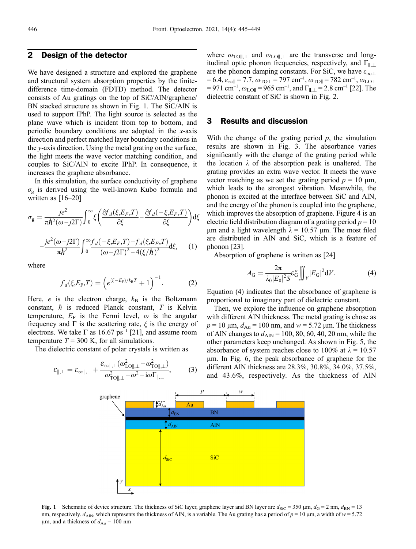#### 2 Design of the detector

We have designed a structure and explored the graphene and structural system absorption properties by the finitedifference time-domain (FDTD) method. The detector consists of Au gratings on the top of SiC/AlN/graphene/ BN stacked structure as shown in Fig. 1. The SiC/AlN is used to support IPhP. The light source is selected as the plane wave which is incident from top to bottom, and periodic boundary conditions are adopted in the x-axis direction and perfect matched layer boundary conditions in the y-axis direction. Using the metal grating on the surface, the light meets the wave vector matching condition, and couples to SiC/AlN to excite IPhP. In consequence, it increases the graphene absorbance.

In this simulation, the surface conductivity of graphene  $\sigma_{\rm g}$  is derived using the well-known Kubo formula and written as  $[16–20]$  $[16–20]$  $[16–20]$  $[16–20]$ 

$$
\sigma_{g} = \frac{je^{2}}{\pi\hbar^{2}(\omega - j2\Gamma)} \int_{0}^{\infty} \xi \left(\frac{\partial f_{d}(\xi, E_{F}, T)}{\partial \xi} - \frac{\partial f_{d}(-\xi, E_{F}, T)}{\partial \xi}\right) d\xi
$$

$$
-\frac{je^{2}(\omega - j2\Gamma)}{\pi\hbar^{2}} \int_{0}^{\infty} \frac{f_{d}(-\xi, E_{F}, T) - f_{d}(\xi, E_{F}, T)}{(\omega - j2\Gamma)^{2} - 4(\xi/\hbar)^{2}} d\xi, \quad (1)
$$

where

$$
f_d(\xi, E_{\rm F}, T) = \left(e^{(\xi - E_{\rm F})/k_{\rm B}T} + 1\right)^{-1}.
$$
 (2)

Here,  $e$  is the electron charge,  $k_B$  is the Boltzmann constant,  $\hbar$  is reduced Planck constant,  $T$  is Kelvin temperature,  $E_F$  is the Fermi level,  $\omega$  is the angular frequency and  $\Gamma$  is the scattering rate,  $\xi$  is the energy of electrons. We take  $\Gamma$  as 16.67 ps<sup>-1</sup> [\[21\]](#page-3-0), and assume room temperature  $T = 300$  K, for all simulations.

The dielectric constant of polar crystals is written as

$$
\varepsilon_{\parallel,\perp} = \varepsilon_{\infty\parallel,\perp} + \frac{\varepsilon_{\infty\parallel,\perp}(\omega_{\text{LO}\parallel,\perp}^2 - \omega_{\text{TO}\parallel,\perp}^2)}{\omega_{\text{TO}\parallel,\perp}^2 - \omega^2 - i\omega\Gamma_{\parallel,\perp}},\tag{3}
$$

where  $\omega_{\text{TOII},\perp}$  and  $\omega_{\text{LOII},\perp}$  are the transverse and longitudinal optic phonon frequencies, respectively, and  $\Gamma_{\parallel,\perp}$ are the phonon damping constants. For SiC, we have  $\varepsilon_{\infty\perp}$  $= 6.4, \varepsilon_{\infty} = 7.7, \omega_{\text{TO}\perp} = 797 \text{ cm}^{-1}, \omega_{\text{TO}\parallel} = 782 \text{ cm}^{-1}, \omega_{\text{LO}\perp}$  $= 971 \text{ cm}^{-1}, \omega_{\text{LO}\parallel} = 965 \text{ cm}^{-1}, \text{ and } \Gamma_{\parallel,\perp} = 2.8 \text{ cm}^{-1}$  [[22](#page-3-0)]. The dielectric constant of SiC is shown in Fig. 2.

### 3 Results and discussion

With the change of the grating period  $p$ , the simulation results are shown in Fig. 3. The absorbance varies significantly with the change of the grating period while the location  $\lambda$  of the absorption peak is unaltered. The grating provides an extra wave vector. It meets the wave vector matching as we set the grating period  $p = 10 \text{ µm}$ , which leads to the strongest vibration. Meanwhile, the phonon is excited at the interface between SiC and AlN, and the energy of the phonon is coupled into the graphene, which improves the absorption of graphene. Figure 4 is an electric field distribution diagram of a grating period  $p = 10$ um and a light wavelength  $\lambda = 10.57$  um. The most filed are distributed in AlN and SiC, which is a feature of phonon [\[23\]](#page-3-0).

Absorption of graphene is written as [\[24\]](#page-3-0)

$$
A_{\rm G} = \frac{2\pi}{\lambda_0 |E_0|^2 S} \mathcal{E}_{\rm G}'' \iiint_V |E_{\rm G}|^2 dV.
$$
 (4)

Equation (4) indicates that the absorbance of graphene is proportional to imaginary part of dielectric constant.

Then, we explore the influence on graphene absorption with different AlN thickness. The metal grating is chose as  $p = 10 \mu m$ ,  $d_{Au} = 100 \text{ nm}$ , and  $w = 5.72 \mu \text{m}$ . The thickness of AlN changes to  $d_{\text{AlN}}$  = 100, 80, 60, 40, 20 nm, while the other parameters keep unchanged. As shown in Fig. 5, the absorbance of system reaches close to 100% at  $\lambda = 10.57$ mm. In Fig. 6, the peak absorbance of graphene for the different AlN thickness are 28.3%, 30.8%, 34.0%, 37.5%, and 43.6%, respectively. As the thickness of AlN



Fig. 1 Schematic of device structure. The thickness of SiC layer, graphene layer and BN layer are  $d_{\text{SiC}} = 350 \text{ µm}$ ,  $d_{\text{G}} = 2 \text{ nm}$ ,  $d_{\text{BN}} = 13$ nm, respectively.  $d_{\text{AlN}}$ , which represents the thickness of AlN, is a variable. The Au grating has a period of  $p = 10 \, \mu \text{m}$ , a width of  $w = 5.72$ µm, and a thickness of  $d_{Au}$  = 100 nm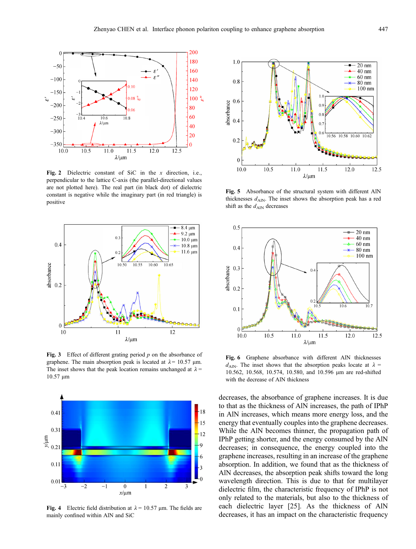

Fig. 2 Dielectric constant of SiC in the x direction, i.e., perpendicular to the lattice C-axis (the parallel-directional values are not plotted here). The real part (in black dot) of dielectric constant is negative while the imaginary part (in red triangle) is positive



Fig. 3 Effect of different grating period  $p$  on the absorbance of graphene. The main absorption peak is located at  $\lambda = 10.57$  µm. The inset shows that the peak location remains unchanged at  $\lambda$  =  $10.57 \mu m$ 



Fig. 4 Electric field distribution at  $\lambda = 10.57$  µm. The fields are mainly confined within AlN and SiC



Fig. 5 Absorbance of the structural system with different AlN thicknesses  $d_{\text{AlN}}$ . The inset shows the absorption peak has a red shift as the  $d_{\text{AlN}}$  decreases



Fig. 6 Graphene absorbance with different AlN thicknesses  $d_{\text{AIN}}$ . The inset shows that the absorption peaks locate at  $\lambda$  = 10.562, 10.568, 10.574, 10.580, and 10.596 mm are red-shifted with the decrease of AlN thickness

decreases, the absorbance of graphene increases. It is due to that as the thickness of AlN increases, the path of IPhP in AlN increases, which means more energy loss, and the energy that eventually couples into the graphene decreases. While the AlN becomes thinner, the propagation path of IPhP getting shorter, and the energy consumed by the AlN decreases; in consequence, the energy coupled into the graphene increases, resulting in an increase of the graphene absorption. In addition, we found that as the thickness of AlN decreases, the absorption peak shifts toward the long wavelength direction. This is due to that for multilayer dielectric film, the characteristic frequency of IPhP is not only related to the materials, but also to the thickness of each dielectric layer [\[25\]](#page-3-0). As the thickness of AlN decreases, it has an impact on the characteristic frequency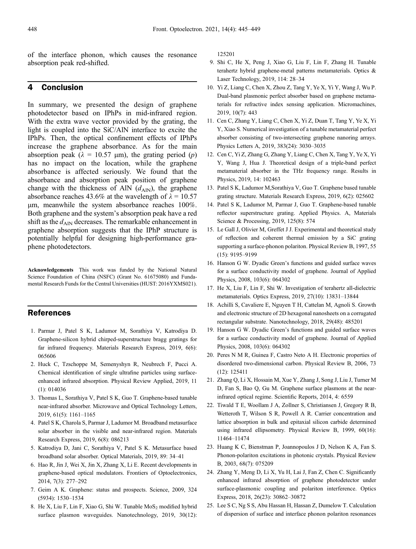<span id="page-3-0"></span>of the interface phonon, which causes the resonance absorption peak red-shifted.

### 4 Conclusion

In summary, we presented the design of graphene photodetector based on IPhPs in mid-infrared region. With the extra wave vector provided by the grating, the light is coupled into the SiC/AlN interface to excite the IPhPs. Then, the optical confinement effects of IPhPs increase the graphene absorbance. As for the main absorption peak ( $\lambda = 10.57$  µm), the grating period (p) has no impact on the location, while the graphene absorbance is affected seriously. We found that the absorbance and absorption peak position of graphene change with the thickness of AlN  $(d_{\text{AlN}})$ , the graphene absorbance reaches 43.6% at the wavelength of  $\lambda = 10.57$ mm, meanwhile the system absorbance reaches 100%. Both graphene and the system's absorption peak have a red shift as the  $d_{\text{AIN}}$  decreases. The remarkable enhancement in graphene absorption suggests that the IPhP structure is potentially helpful for designing high-performance graphene photodetectors.

Acknowledgements This work was funded by the National Natural Science Foundation of China (NSFC) (Grant No. 61675080) and Fundamental Research Funds for the Central Universities (HUST: 2016YXMS021).

#### References

- 1. Parmar J, Patel S K, Ladumor M, Sorathiya V, Katrodiya D. Graphene-silicon hybrid chirped-superstructure bragg gratings for far infrared frequency. Materials Research Express, 2019, 6(6): 065606
- 2. Huck C, Tzschoppe M, Semenyshyn R, Neubrech F, Pucci A. Chemical identification of single ultrafine particles using surfaceenhanced infrared absorption. Physical Review Applied, 2019, 11  $(1): 014036$
- 3. Thomas L, Sorathiya V, Patel S K, Guo T. Graphene-based tunable near-infrared absorber. Microwave and Optical Technology Letters, 2019, 61(5): 1161–1165
- 4. Patel S K, Charola S, Parmar J, Ladumor M. Broadband metasurface solar absorber in the visible and near-infrared region. Materials Research Express, 2019, 6(8): 086213
- 5. Katrodiya D, Jani C, Sorathiya V, Patel S K. Metasurface based broadband solar absorber. Optical Materials, 2019, 89: 34–41
- 6. Hao R, Jin J, Wei X, Jin X, Zhang X, Li E. Recent developments in graphene-based optical modulators. Frontiers of Optoelectronics, 2014, 7(3): 277–292
- 7. Geim A K. Graphene: status and prospects. Science, 2009, 324 (5934): 1530–1534
- 8. He X, Liu F, Lin F, Xiao G, Shi W. Tunable  $MoS<sub>2</sub>$  modified hybrid surface plasmon waveguides. Nanotechnology, 2019, 30(12):

125201

- 9. Shi C, He X, Peng J, Xiao G, Liu F, Lin F, Zhang H. Tunable terahertz hybrid graphene-metal patterns metamaterials. Optics & Laser Technology, 2019, 114: 28–34
- 10. Yi Z, Liang C, Chen X, Zhou Z, Tang Y, Ye X, Yi Y, Wang J, Wu P. Dual-band plasmonic perfect absorber based on graphene metamaterials for refractive index sensing application. Micromachines, 2019, 10(7): 443
- 11. Cen C, Zhang Y, Liang C, Chen X, Yi Z, Duan T, Tang Y, Ye X, Yi Y, Xiao S. Numerical investigation of a tunable metamaterial perfect absorber consisting of two-intersecting graphene nanoring arrays. Physics Letters A, 2019, 383(24): 3030–3035
- 12. Cen C, Yi Z, Zhang G, Zhang Y, Liang C, Chen X, Tang Y, Ye X, Yi Y, Wang J, Hua J. Theoretical design of a triple-band perfect metamaterial absorber in the THz frequency range. Results in Physics, 2019, 14: 102463
- 13. Patel S K, Ladumor M,Sorathiya V, Guo T. Graphene based tunable grating structure. Materials Research Express, 2019, 6(2): 025602
- 14. Patel S K, Ladumor M, Parmar J, Guo T. Graphene-based tunable reflector superstructure grating. Applied Physics. A, Materials Science & Processing, 2019, 125(8): 574
- 15. Le Gall J, Olivier M, Greffet J J. Experimental and theoretical study of reflection and coherent thermal emission by a SiC grating supporting a surface-phonon polariton. Physical Review B, 1997, 55 (15): 9195–9199
- 16. Hanson G W. Dyadic Green's functions and guided surface waves for a surface conductivity model of graphene. Journal of Applied Physics, 2008, 103(6): 064302
- 17. He X, Liu F, Lin F, Shi W. Investigation of terahertz all-dielectric metamaterials. Optics Express, 2019, 27(10): 13831–13844
- 18. Achilli S, Cavaliere E, Nguyen T H, Cattelan M, Agnoli S. Growth and electronic structure of 2D hexagonal nanosheets on a corrugated rectangular substrate. Nanotechnology, 2018, 29(48): 485201
- 19. Hanson G W. Dyadic Green's functions and guided surface waves for a surface conductivity model of graphene. Journal of Applied Physics, 2008, 103(6): 064302
- 20. Peres N M R, Guinea F, Castro Neto A H. Electronic properties of disordered two-dimensional carbon. Physical Review B, 2006, 73 (12): 125411
- 21. Zhang Q, Li X, Hossain M, Xue Y, Zhang J, Song J, Liu J, Turner M D, Fan S, Bao Q, Gu M. Graphene surface plasmons at the nearinfrared optical regime. Scientific Reports, 2014, 4: 6559
- 22. Tiwald T E, Woollam J A, Zollner S, Christiansen J, Gregory R B, Wetteroth T, Wilson S R, Powell A R. Carrier concentration and lattice absorption in bulk and epitaxial silicon carbide determined using infrared ellipsometry. Physical Review B, 1999, 60(16): 11464–11474
- 23. Huang K C, Bienstman P, Joannopoulos J D, Nelson K A, Fan S. Phonon-polariton excitations in photonic crystals. Physical Review B, 2003, 68(7): 075209
- 24. Zhang Y, Meng D, Li X, Yu H, Lai J, Fan Z, Chen C. Significantly enhanced infrared absorption of graphene photodetector under surface-plasmonic coupling and polariton interference. Optics Express, 2018, 26(23): 30862–30872
- 25. Lee S C, Ng S S, Abu Hassan H, Hassan Z, Dumelow T. Calculation of dispersion of surface and interface phonon polariton resonances